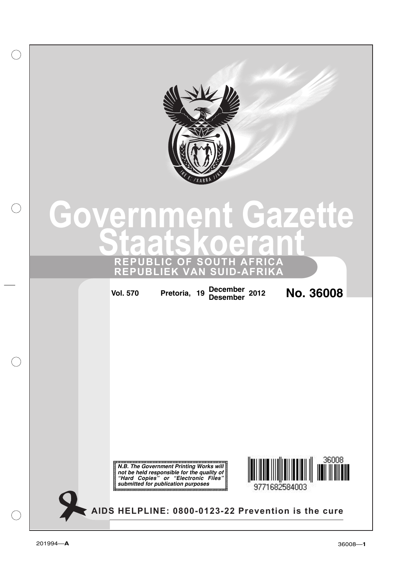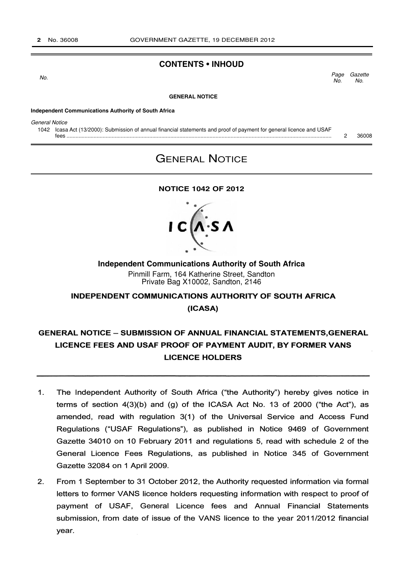## **CONTENTS • INHOUD**

**Gazette** No. Page No.  $\sim$  No.

#### **GENERAL NOTICE**

#### **Independent Communications Authority of South Africa**

General Notice

1042 Icasa Act (13/2000): Submission of annual financial statements and proof of payment for general licence and USAF fees ................................................................................................................................................................................ 2 36008

# GENERAL NOTICE

### **NOTICE 1042 OF 2012**



## **Independent Communications Authority of South Africa** Pinmill Farm, 164 Katherine Street, Sandton

Private Bag X10002, Sandton, 2146

## INDEPENDENT COMMUNICATIONS AUTHORITY OF SOUTH AFRICA

(ICASA)

## GENERAL NOTICE - SUBMISSION OF ANNUAL FINANCIAL STATEMENTS.GENERAL LICENCE FEES AND USAF PROOF OF PAYMENT AUDIT, BY FORMER VANS LICENCE HOLDERS

- 1. The Independent Authority of South Africa ("the Authority") hereby gives notice in terms of section 4(3)(b) and (g) of the ICASA Act No. 13 of 2000 ("the Act"), as amended, read with regulation 3(1) of the Universal Service and Access Fund Regulations ("USAF Regulations"), as published in Notice 9469 of Government Gazette 34010 on 10 February 2011 and regulations 5, read with schedule 2 of the General Licence Fees Regulations, as published in Notice 345 of Government Gazette 32084 on 1 April 2009.
- 2. From 1 September to 31 October 2012, the Authority requested information via formal letters to former VANS licence holders requesting information with respect to proof of payment of USAF, General Licence fees and Annual Financial Statements submission, from date of issue of the VANS licence to the year 2011/2012 financial year.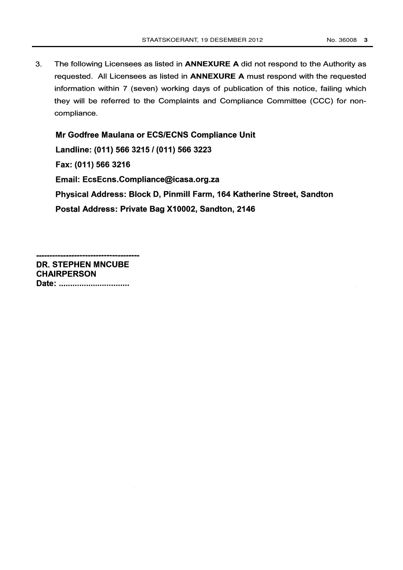$3<sub>1</sub>$ The following Licensees as listed in **ANNEXURE A** did not respond to the Authority as requested. All Licensees as listed in ANNEXURE A must respond with the requested information within 7 (seven) working days of publication of this notice, failing which they will be referred to the Complaints and Compliance Committee (CCC) for noncompliance.

Mr Godfree Maulana or ECS/ECNS Compliance Unit Landline: (011) 566 3215 / (011) 566 3223 Fax: (011) 566 3216 Email: EcsEcns.Compliance@icasa.org.za Physical Address: Block D, Pinmill Farm, 164 Katherine Street, Sandton Postal Address: Private Bag X10002, Sandton, 2146

DR. STEPHEN MNCUBE CHAIRPERSON Date: ................................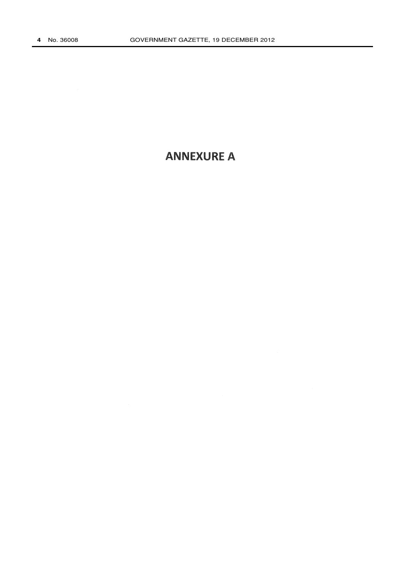# **ANNEXURE A**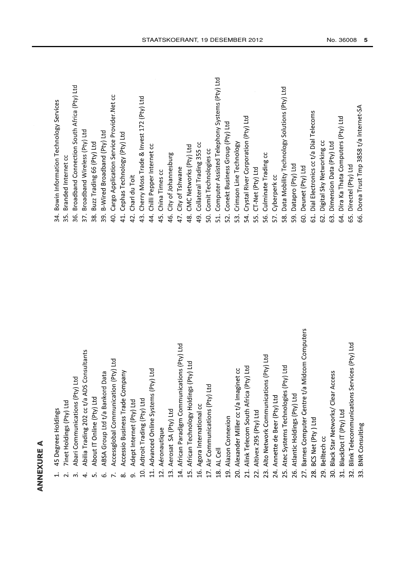| € |
|---|
| u |
| ñ |
|   |
|   |
|   |
|   |
|   |
| d |

- 
- 
- 
- 
- 
- 
- 
- 
- 
- 
- 
- 
- 
- 
- 
- 
- 
- 
- -
- 
- 
- 
- 
- 
- 
- 
- 
- 
- 
- 
- 
- AN ROUBE A<br>And COME Association of the state of the state of the state of the state of the state of the state<br>
2. The distinction of the state of the state of the state of the state of the state of the state of the state<br>
- - -
- 
- 
-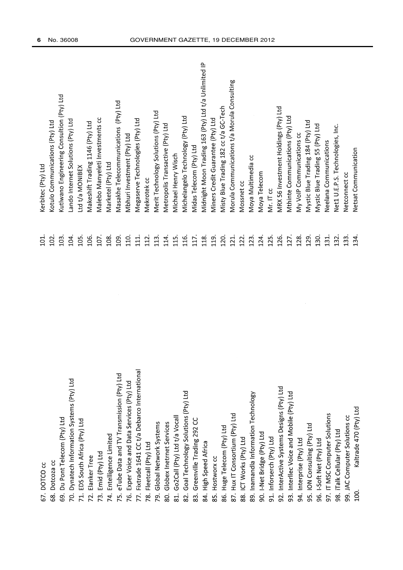| DOTCO CC<br>67.                                   | 101             | Kerbitec (Pty) Ltd                                   |
|---------------------------------------------------|-----------------|------------------------------------------------------|
| Dotcoza cc<br>ထိ                                  | 102.            | Kotulo Communications (Pty) Ltd                      |
| Du Pont Telecom (Pty) Ltd<br>G9.                  | 103             | Kutlwano Engineering Consultion (Pty) Ltd            |
| Dynatech Information Systems (Pty) Ltd<br>R.      | 104.            | Lando Internet Solutions (Pty) Ltd                   |
| EDS South Africa (Pty) Ltd<br>71.                 | 105.            | Ltd t/a MONIBEX                                      |
| Elanker Tree<br>72.                               | 106.            | Makeshift Trading 1146 (Pty) Ltd                     |
| Emid (Pty) Ltd<br>73.                             | 107.            | Malebo Manyeleti Investments cc                      |
| Entelligence Limited<br>74.                       | 108.            | Marketel (Pty) Ltd                                   |
| eTube Data and TV Transmission (Pty) Ltd<br>75.   | 109.            | Masakhe Telecommunications (Pty) Ltd                 |
| Exper Voice and Data Services (Pty) Ltd<br>76.    | 110.            | Mbhuri Investment (Pty) Ltd                          |
| Fixtrade 1641 CC t/a Debarco International<br>77. | $\overline{11}$ | Megaserve Technologies (Pty) Ltd                     |
| Fleetcall (Pty) Ltd<br>Ŗ.                         | 112.            | Mekrotek cc                                          |
| Global Network Systems<br>ŗg.                     | 113.            | Merit Technology Solutions (Pty) Ltd                 |
| Globex Inetrnet Services<br>80.                   | 114.            | Metropolis Transactive (Pty) Ltd                     |
| Go2Call (Pty) Ltd t/a Vocall<br>$\overline{31}$ . | 115.            | Michael Henry Wisch                                  |
| Goal Technology Solutions (Pty) Ltd<br>82.        | 116.            | Michelangelo Technology (Pty) Ltd                    |
| Greenville Trading 292 CC<br>$\ddot{\mathrm{3}}$  | 117.            | Midas Telecom (Pty) Ltd                              |
| <b>High Speed Africa</b><br>84.                   | 118.            | Midnight Moon Trading 163 (Pty) Ltd t/a Unlimited IP |
| Hostworx cc<br>ပ္လ                                | 119.            | Miners Credit Guarantee (Pty) Ltd                    |
| Huge Telecom (Pty) Ltd<br>86.                     | 120.            | Misty Blue Trading 182 cc t/a GC-Tech                |
| Hux IT Consortium (Pty) Ltd<br>87.                | 121             | Morula Communications t/a Morula Consulting          |
| 88. ICT Works (Pty) Ltd                           | 122             | Mossnet cc                                           |
| 89. Inamandla Information Technology              | 123.            | Moya Multimedia cc                                   |
| I-Net Bridge (Pty) Ltd<br>S.                      | 124.            | Moya Telecom                                         |
| 91. Inforserch (Pty) Ltd                          | 125.            | Mr. IT cc                                            |
| 92. InterActive Systems Designs (Pty) Ltd         | 126.            | MRX 56 Investment Holdings (Pty) Ltd                 |
| 93. Interllec Voice and Mobile (Pty) Ltd          | 127             | Mthinte Communications (Pty) Ltd                     |
| 94. Interprise (Pty) Ltd                          | 128             | My VolP Communications cc                            |
| 95. ION Consulting (Pty) Ltd                      | 129.            | Mystic Blue Trading 184 (Pty) Ltd                    |
| 96. I-Soft Net (Pty) Ltd                          | 130.            | Mystic Blue Trading 55 (Pty) Ltd                     |
| 97. IT MSC Computer Solutions                     | 131.            | Neelana Communications                               |
| 98. iTalk Cellular (Pty) Ltd                      | 132.            | Net1 U.E.P.S. Technologies, Inc.                     |
| 99. JAC Computer Solutions cc                     | 133             | Netconnect cc                                        |
| Kaltrade 470 (Pty) Ltd<br>100                     | 134.            | Netsat Communication                                 |
|                                                   |                 |                                                      |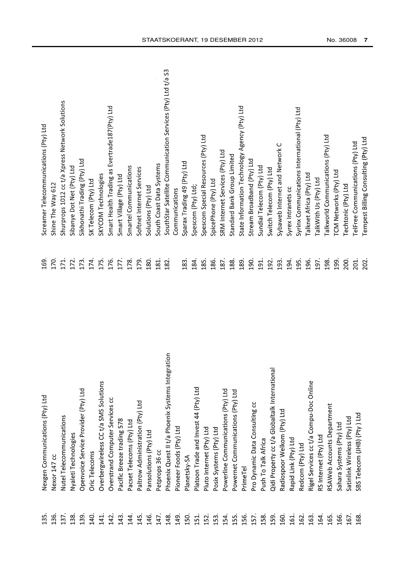| Phoenix Quest II t/a Phoenix Systems Inte<br>Overbergwireless CC t/a SMS Solutions<br>Platoon Trade and Invest 44 (Pty) Ltd<br>Openvoice Service Provider (Pty) Ltd<br>Powerline Communications (Pty) Ltd<br>Nexgen Communications (Pty) Ltd<br>Overstrand Computer Services cc<br>Paltrow Administration (Pty) Ltd<br>Nutel Telecommunications<br>Pacific Breeze trading 578<br>Pacset Telecoms (Pty) Ltd<br>Pioneer Foods (Pty) Ltd<br>Pluto Internet (Pty) Ltd<br>Posix Systems (Pty) Ltd<br>Pansolutions (Pty) Ltd<br>Nyaleti Technologies<br>Petprops 36 cc<br>Oric Telecoms<br>Nexor 147 cc<br>Planetsky-SA<br>136.<br>137.<br>138.<br>139.<br>135.<br>140.<br>141.<br>142.<br>146.<br>154.<br>143<br>144.<br>145.<br>147.<br>148.<br>149<br><b>150</b><br>151<br>152.<br>$\overline{53}$ | 186.<br>180<br>184.<br>185.<br>181<br>182<br>169<br>183<br>noitage | 170.<br>174.<br>175.<br>176.<br>171.<br>172.<br>173.<br>177.<br>178.<br>179. | Shurprops 1012 cc t/a Xpress Network Solutions<br>Smart Health Trading as Evertrade187(Pty) Ltd<br>Spescom Special Resources (Pty) Ltd<br>Sikhonathi Trading (Pty) Ltd<br>Sparax Trading 49 (Pty) Ltd<br>South Coast Data Systems<br>Sibanye Dot Net (Pty) Ltd<br>Smartel Communications<br>Softnet Internet Services<br>SKYCOM Technologies<br>Smart Village (Pty) Ltd<br>SK Telecom (Pty) Ltd<br>SpicePhone (Pty) Ltd<br>Shine The Way 612<br>Solutions (Pty) Ltd<br>Spescom (Pty) Ltd;<br>Communications |
|-------------------------------------------------------------------------------------------------------------------------------------------------------------------------------------------------------------------------------------------------------------------------------------------------------------------------------------------------------------------------------------------------------------------------------------------------------------------------------------------------------------------------------------------------------------------------------------------------------------------------------------------------------------------------------------------------------------------------------------------------------------------------------------------------|--------------------------------------------------------------------|------------------------------------------------------------------------------|-------------------------------------------------------------------------------------------------------------------------------------------------------------------------------------------------------------------------------------------------------------------------------------------------------------------------------------------------------------------------------------------------------------------------------------------------------------------------------------------------------------|
|                                                                                                                                                                                                                                                                                                                                                                                                                                                                                                                                                                                                                                                                                                                                                                                                 |                                                                    |                                                                              |                                                                                                                                                                                                                                                                                                                                                                                                                                                                                                             |
|                                                                                                                                                                                                                                                                                                                                                                                                                                                                                                                                                                                                                                                                                                                                                                                                 |                                                                    |                                                                              | SouthStar Satellite Communication Services (Pty) Ltd t/a S3                                                                                                                                                                                                                                                                                                                                                                                                                                                 |
|                                                                                                                                                                                                                                                                                                                                                                                                                                                                                                                                                                                                                                                                                                                                                                                                 |                                                                    |                                                                              |                                                                                                                                                                                                                                                                                                                                                                                                                                                                                                             |
|                                                                                                                                                                                                                                                                                                                                                                                                                                                                                                                                                                                                                                                                                                                                                                                                 |                                                                    |                                                                              |                                                                                                                                                                                                                                                                                                                                                                                                                                                                                                             |
|                                                                                                                                                                                                                                                                                                                                                                                                                                                                                                                                                                                                                                                                                                                                                                                                 |                                                                    |                                                                              |                                                                                                                                                                                                                                                                                                                                                                                                                                                                                                             |
|                                                                                                                                                                                                                                                                                                                                                                                                                                                                                                                                                                                                                                                                                                                                                                                                 |                                                                    |                                                                              |                                                                                                                                                                                                                                                                                                                                                                                                                                                                                                             |
|                                                                                                                                                                                                                                                                                                                                                                                                                                                                                                                                                                                                                                                                                                                                                                                                 |                                                                    |                                                                              |                                                                                                                                                                                                                                                                                                                                                                                                                                                                                                             |
|                                                                                                                                                                                                                                                                                                                                                                                                                                                                                                                                                                                                                                                                                                                                                                                                 |                                                                    |                                                                              |                                                                                                                                                                                                                                                                                                                                                                                                                                                                                                             |
|                                                                                                                                                                                                                                                                                                                                                                                                                                                                                                                                                                                                                                                                                                                                                                                                 |                                                                    |                                                                              |                                                                                                                                                                                                                                                                                                                                                                                                                                                                                                             |
|                                                                                                                                                                                                                                                                                                                                                                                                                                                                                                                                                                                                                                                                                                                                                                                                 |                                                                    |                                                                              |                                                                                                                                                                                                                                                                                                                                                                                                                                                                                                             |
|                                                                                                                                                                                                                                                                                                                                                                                                                                                                                                                                                                                                                                                                                                                                                                                                 |                                                                    |                                                                              |                                                                                                                                                                                                                                                                                                                                                                                                                                                                                                             |
|                                                                                                                                                                                                                                                                                                                                                                                                                                                                                                                                                                                                                                                                                                                                                                                                 |                                                                    |                                                                              |                                                                                                                                                                                                                                                                                                                                                                                                                                                                                                             |
|                                                                                                                                                                                                                                                                                                                                                                                                                                                                                                                                                                                                                                                                                                                                                                                                 |                                                                    |                                                                              |                                                                                                                                                                                                                                                                                                                                                                                                                                                                                                             |
|                                                                                                                                                                                                                                                                                                                                                                                                                                                                                                                                                                                                                                                                                                                                                                                                 |                                                                    |                                                                              |                                                                                                                                                                                                                                                                                                                                                                                                                                                                                                             |
|                                                                                                                                                                                                                                                                                                                                                                                                                                                                                                                                                                                                                                                                                                                                                                                                 |                                                                    |                                                                              |                                                                                                                                                                                                                                                                                                                                                                                                                                                                                                             |
|                                                                                                                                                                                                                                                                                                                                                                                                                                                                                                                                                                                                                                                                                                                                                                                                 |                                                                    |                                                                              |                                                                                                                                                                                                                                                                                                                                                                                                                                                                                                             |
|                                                                                                                                                                                                                                                                                                                                                                                                                                                                                                                                                                                                                                                                                                                                                                                                 |                                                                    |                                                                              |                                                                                                                                                                                                                                                                                                                                                                                                                                                                                                             |
|                                                                                                                                                                                                                                                                                                                                                                                                                                                                                                                                                                                                                                                                                                                                                                                                 |                                                                    |                                                                              |                                                                                                                                                                                                                                                                                                                                                                                                                                                                                                             |
|                                                                                                                                                                                                                                                                                                                                                                                                                                                                                                                                                                                                                                                                                                                                                                                                 |                                                                    | 187.                                                                         | SRM Internet Services (Pty) Ltd                                                                                                                                                                                                                                                                                                                                                                                                                                                                             |
| Powernet Communications (Pty) Ltd<br><b>L55</b>                                                                                                                                                                                                                                                                                                                                                                                                                                                                                                                                                                                                                                                                                                                                                 | 188.                                                               |                                                                              | Standard Bank Group Limited                                                                                                                                                                                                                                                                                                                                                                                                                                                                                 |
| PrimeTel<br>156.                                                                                                                                                                                                                                                                                                                                                                                                                                                                                                                                                                                                                                                                                                                                                                                | 189.                                                               |                                                                              | State Information Technology Agency (Pty) Ltd                                                                                                                                                                                                                                                                                                                                                                                                                                                               |
| Pro Dynamic Data Consulting cc<br>157.                                                                                                                                                                                                                                                                                                                                                                                                                                                                                                                                                                                                                                                                                                                                                          | 190.                                                               |                                                                              | Stream Broadband (Pty) Ltd                                                                                                                                                                                                                                                                                                                                                                                                                                                                                  |
| Push To Talk Africa<br>158                                                                                                                                                                                                                                                                                                                                                                                                                                                                                                                                                                                                                                                                                                                                                                      | 191.                                                               |                                                                              | Sundial Telecom (Pty) Ltd                                                                                                                                                                                                                                                                                                                                                                                                                                                                                   |
| Qidi Property cc t/a Globaltalk International<br>L <sub>59</sub>                                                                                                                                                                                                                                                                                                                                                                                                                                                                                                                                                                                                                                                                                                                                | 192.                                                               |                                                                              | Switch Telecom (Pty) Ltd                                                                                                                                                                                                                                                                                                                                                                                                                                                                                    |
| Radiospoor Welkom (Pty) Ltd<br>ïeo                                                                                                                                                                                                                                                                                                                                                                                                                                                                                                                                                                                                                                                                                                                                                              | 193.                                                               |                                                                              | Sybaweb Internet and Network C                                                                                                                                                                                                                                                                                                                                                                                                                                                                              |
| Rapid Link (Pty) Ltd<br>161.                                                                                                                                                                                                                                                                                                                                                                                                                                                                                                                                                                                                                                                                                                                                                                    | 194.                                                               |                                                                              | Syrex Intranets cc                                                                                                                                                                                                                                                                                                                                                                                                                                                                                          |
| Redcom (Pty) Ltd<br>162.                                                                                                                                                                                                                                                                                                                                                                                                                                                                                                                                                                                                                                                                                                                                                                        | 195.                                                               |                                                                              | Syrinx Communications International (Pty) Ltd                                                                                                                                                                                                                                                                                                                                                                                                                                                               |
| Rigel Services cc t/a Compu-Doc Online<br>163                                                                                                                                                                                                                                                                                                                                                                                                                                                                                                                                                                                                                                                                                                                                                   |                                                                    | 196.                                                                         | Talknet Africa (Pty) Ltd                                                                                                                                                                                                                                                                                                                                                                                                                                                                                    |
| RS Internet (Pty) Ltd<br>164                                                                                                                                                                                                                                                                                                                                                                                                                                                                                                                                                                                                                                                                                                                                                                    |                                                                    | 197.                                                                         | TalkWith Us (Pty) Ltd                                                                                                                                                                                                                                                                                                                                                                                                                                                                                       |
| RSAWeb Accounts Department<br>165.                                                                                                                                                                                                                                                                                                                                                                                                                                                                                                                                                                                                                                                                                                                                                              |                                                                    | 198.                                                                         | Talkworld Communications (Pty) Ltd                                                                                                                                                                                                                                                                                                                                                                                                                                                                          |
|                                                                                                                                                                                                                                                                                                                                                                                                                                                                                                                                                                                                                                                                                                                                                                                                 |                                                                    | 199.                                                                         | TCM Networks (Pty) Ltd                                                                                                                                                                                                                                                                                                                                                                                                                                                                                      |
| Sahara Systems (Pty) Ltd<br>166.                                                                                                                                                                                                                                                                                                                                                                                                                                                                                                                                                                                                                                                                                                                                                                |                                                                    | 200.                                                                         | <b>Techtonic (Pty) Ltd</b>                                                                                                                                                                                                                                                                                                                                                                                                                                                                                  |
| Satinlink Wireless (Pty) Ltd<br>167.<br>168                                                                                                                                                                                                                                                                                                                                                                                                                                                                                                                                                                                                                                                                                                                                                     | 201.                                                               |                                                                              | TelFree Communications (Pty) Ltd                                                                                                                                                                                                                                                                                                                                                                                                                                                                            |
| SBS Telecom (JHB) (Pty) Ltd                                                                                                                                                                                                                                                                                                                                                                                                                                                                                                                                                                                                                                                                                                                                                                     | 202                                                                |                                                                              | Tempest Billing Consulting (Pty) Ltd                                                                                                                                                                                                                                                                                                                                                                                                                                                                        |
|                                                                                                                                                                                                                                                                                                                                                                                                                                                                                                                                                                                                                                                                                                                                                                                                 |                                                                    |                                                                              |                                                                                                                                                                                                                                                                                                                                                                                                                                                                                                             |